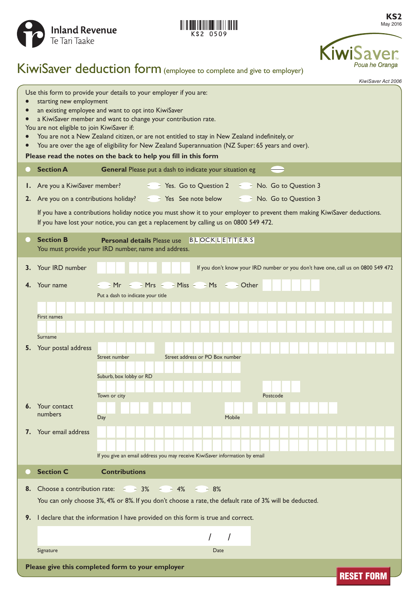



**KS2** May 2016



# KiwiSaver deduction form (employee to complete and give to employer)

*KiwiSaver Act 2006*

| Use this form to provide your details to your employer if you are:<br>starting new employment<br>an existing employee and want to opt into KiwiSaver<br>a KiwiSaver member and want to change your contribution rate.<br>$\bullet$                                                                                                |                                                                                                                                                                        |                                                                                                                                                                                                                     |
|-----------------------------------------------------------------------------------------------------------------------------------------------------------------------------------------------------------------------------------------------------------------------------------------------------------------------------------|------------------------------------------------------------------------------------------------------------------------------------------------------------------------|---------------------------------------------------------------------------------------------------------------------------------------------------------------------------------------------------------------------|
| You are not eligible to join KiwiSaver if:<br>You are not a New Zealand citizen, or are not entitled to stay in New Zealand indefinitely, or<br>$\bullet$<br>You are over the age of eligibility for New Zealand Superannuation (NZ Super: 65 years and over).<br>Please read the notes on the back to help you fill in this form |                                                                                                                                                                        |                                                                                                                                                                                                                     |
| $\blacksquare$                                                                                                                                                                                                                                                                                                                    | <b>Section A</b>                                                                                                                                                       | General Please put a dash to indicate your situation eg                                                                                                                                                             |
| Ι.                                                                                                                                                                                                                                                                                                                                | Are you a KiwiSaver member?                                                                                                                                            | $\frac{1}{2}$ Yes. Go to Question 2 $\frac{1}{2}$ $\frac{1}{2}$ No. Go to Question 3                                                                                                                                |
|                                                                                                                                                                                                                                                                                                                                   | 2. Are you on a contributions holiday?                                                                                                                                 | $ -$ Yes See note below<br>$ -$ No. Go to Question 3                                                                                                                                                                |
|                                                                                                                                                                                                                                                                                                                                   |                                                                                                                                                                        | If you have a contributions holiday notice you must show it to your employer to prevent them making KiwiSaver deductions.<br>If you have lost your notice, you can get a replacement by calling us on 0800 549 472. |
|                                                                                                                                                                                                                                                                                                                                   | <b>Section B</b>                                                                                                                                                       | <b>Personal details Please use</b> BLOCKLETTERS<br>You must provide your IRD number, name and address.                                                                                                              |
|                                                                                                                                                                                                                                                                                                                                   | 3. Your IRD number                                                                                                                                                     | If you don't know your IRD number or you don't have one, call us on 0800 549 472                                                                                                                                    |
| 4.                                                                                                                                                                                                                                                                                                                                | Your name                                                                                                                                                              | $-Mrs$ $-Miss$ $-Ms$ $-Ns$ $-$ Other<br>Mr<br>Put a dash to indicate your title                                                                                                                                     |
|                                                                                                                                                                                                                                                                                                                                   | First names<br>Surname                                                                                                                                                 |                                                                                                                                                                                                                     |
|                                                                                                                                                                                                                                                                                                                                   | 5. Your postal address                                                                                                                                                 | Street number<br>Street address or PO Box number<br>Suburb, box lobby or RD<br>Town or city<br>Postcode                                                                                                             |
| 6.                                                                                                                                                                                                                                                                                                                                | Your contact<br>numbers                                                                                                                                                | Day<br>Mobile                                                                                                                                                                                                       |
|                                                                                                                                                                                                                                                                                                                                   | 7. Your email address                                                                                                                                                  | If you give an email address you may receive KiwiSaver information by email                                                                                                                                         |
|                                                                                                                                                                                                                                                                                                                                   | <b>Section C</b>                                                                                                                                                       | <b>Contributions</b>                                                                                                                                                                                                |
| 8.                                                                                                                                                                                                                                                                                                                                | Choose a contribution rate: $-3\%$<br>$- - 4\%$<br>$- - 8\%$<br>You can only choose 3%, 4% or 8%. If you don't choose a rate, the default rate of 3% will be deducted. |                                                                                                                                                                                                                     |
| I declare that the information I have provided on this form is true and correct.<br>9.                                                                                                                                                                                                                                            |                                                                                                                                                                        |                                                                                                                                                                                                                     |
|                                                                                                                                                                                                                                                                                                                                   |                                                                                                                                                                        |                                                                                                                                                                                                                     |
|                                                                                                                                                                                                                                                                                                                                   | Signature                                                                                                                                                              | Date                                                                                                                                                                                                                |
| Please give this completed form to your employer<br><b>RESET FORM</b>                                                                                                                                                                                                                                                             |                                                                                                                                                                        |                                                                                                                                                                                                                     |